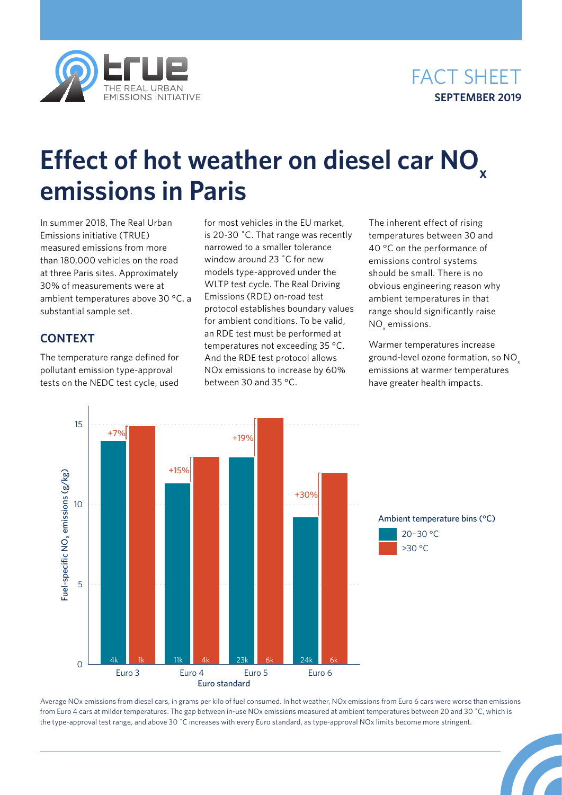



# **Effect of hot weather on diesel car NO x emissions in Paris**

In summer 2018, The Real Urban Emissions initiative (TRUE) measured emissions from more than 180,000 vehicles on the road at three Paris sites. Approximately 30% of measurements were at ambient temperatures above 30 °C, a substantial sample set.

## **CONTEXT**

The temperature range defined for pollutant emission type-approval tests on the NEDC test cycle, used for most vehicles in the EU market, is 20-30 ˚C. That range was recently narrowed to a smaller tolerance window around 23 ˚C for new models type-approved under the WLTP test cycle. The Real Driving Emissions (RDE) on-road test protocol establishes boundary values for ambient conditions. To be valid, an RDE test must be performed at temperatures not exceeding 35 °C. And the RDE test protocol allows NOx emissions to increase by 60% between 30 and 35 °C.

The inherent effect of rising temperatures between 30 and 40 °C on the performance of emissions control systems should be small. There is no obvious engineering reason why ambient temperatures in that range should significantly raise  $NO<sub>x</sub>$  emissions.

Warmer temperatures increase ground-level ozone formation, so NOx emissions at warmer temperatures have greater health impacts.



Average NOx emissions from diesel cars, in grams per kilo of fuel consumed. In hot weather, NOx emissions from Euro 6 cars were worse than emissions from Euro 4 cars at milder temperatures. The gap between in-use NOx emissions measured at ambient temperatures between 20 and 30 ˚C, which is the type-approval test range, and above 30 ˚C increases with every Euro standard, as type-approval NOx limits become more stringent.